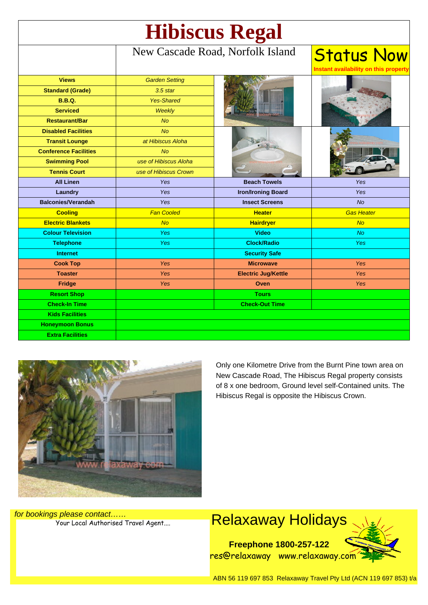| <b>Hibiscus Regal</b>        |                                  |                            |                                    |
|------------------------------|----------------------------------|----------------------------|------------------------------------|
|                              | New Cascade Road, Norfolk Island |                            | <b>Status Now</b><br>on this prope |
| <b>Views</b>                 | <b>Garden Setting</b>            |                            |                                    |
| <b>Standard (Grade)</b>      | $3.5$ star                       |                            |                                    |
| <b>B.B.Q.</b>                | <b>Yes-Shared</b>                |                            |                                    |
| <b>Serviced</b>              | Weekly                           |                            |                                    |
| <b>Restaurant/Bar</b>        | <b>No</b>                        |                            |                                    |
| <b>Disabled Facilities</b>   | <b>No</b>                        |                            |                                    |
| <b>Transit Lounge</b>        | at Hibiscus Aloha                |                            |                                    |
| <b>Conference Facilities</b> | <b>No</b>                        |                            |                                    |
| <b>Swimming Pool</b>         | use of Hibiscus Aloha            |                            |                                    |
| <b>Tennis Court</b>          | use of Hibiscus Crown            |                            |                                    |
| <b>All Linen</b>             | <b>Yes</b>                       | <b>Beach Towels</b>        | Yes                                |
| Laundry                      | Yes                              | <b>Iron/Ironing Board</b>  | Yes                                |
| <b>Balconies/Verandah</b>    | Yes                              | <b>Insect Screens</b>      | <b>No</b>                          |
| <b>Cooling</b>               | <b>Fan Cooled</b>                | <b>Heater</b>              | <b>Gas Heater</b>                  |
| <b>Electric Blankets</b>     | <b>No</b>                        | <b>Hairdryer</b>           | No                                 |
| <b>Colour Television</b>     | <b>Yes</b>                       | <b>Video</b>               | <b>No</b>                          |
| <b>Telephone</b>             | <b>Yes</b>                       | <b>Clock/Radio</b>         | <b>Yes</b>                         |
| <b>Internet</b>              |                                  | <b>Security Safe</b>       |                                    |
| <b>Cook Top</b>              | Yes                              | <b>Microwave</b>           | <b>Yes</b>                         |
| <b>Toaster</b>               | Yes                              | <b>Electric Jug/Kettle</b> | Yes                                |
| Fridge                       | <b>Yes</b>                       | Oven                       | <b>Yes</b>                         |
| <b>Resort Shop</b>           |                                  | <b>Tours</b>               |                                    |
| <b>Check-In Time</b>         |                                  | <b>Check-Out Time</b>      |                                    |
| <b>Kids Facilities</b>       |                                  |                            |                                    |
| <b>Honeymoon Bonus</b>       |                                  |                            |                                    |
| <b>Extra Facilities</b>      |                                  |                            |                                    |



Only one Kilometre Drive from the Burnt Pine town area on New Cascade Road, The Hibiscus Regal property consists of 8 x one bedroom, Ground level self-Contained units. The Hibiscus Regal is opposite the Hibiscus Crown.

for bookings please contact……